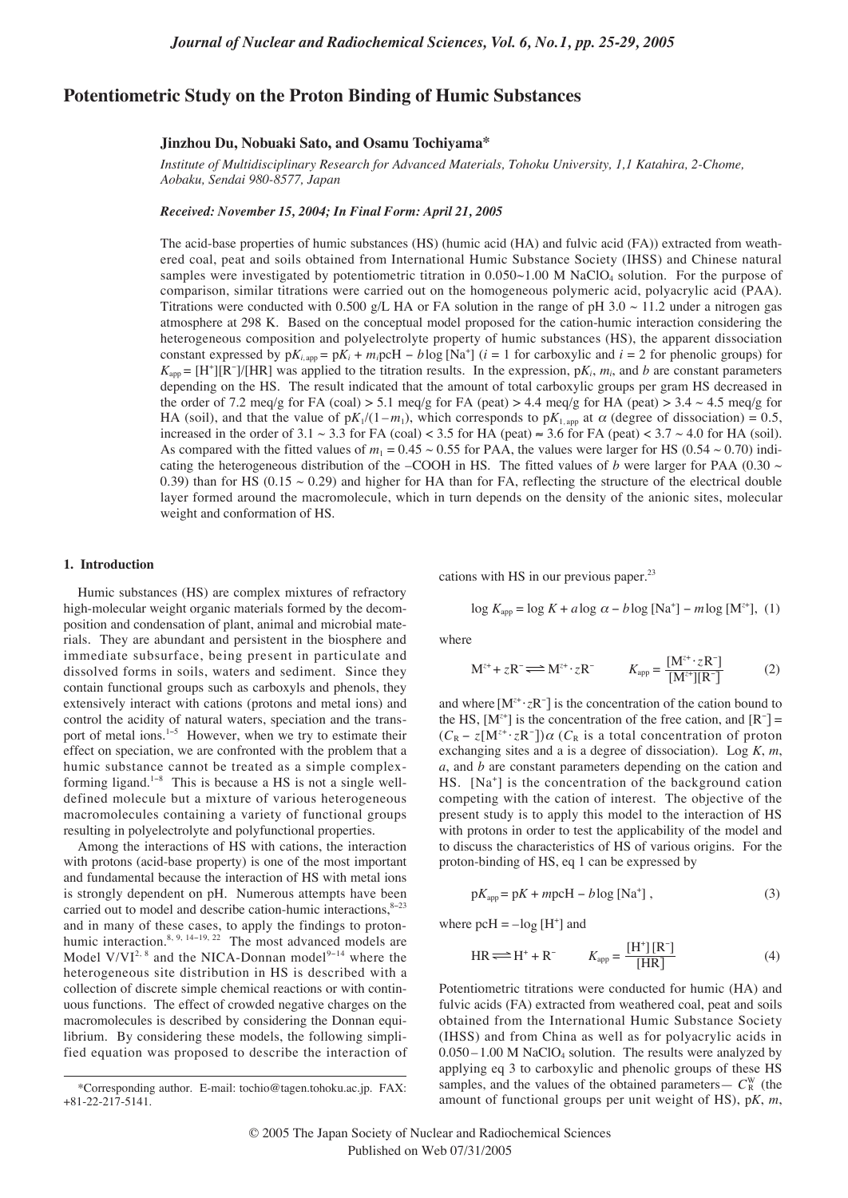# **Potentiometric Study on the Proton Binding of Humic Substances**

# **Jinzhou Du, Nobuaki Sato, and Osamu Tochiyama\***

*Institute of Multidisciplinary Research for Advanced Materials, Tohoku University, 1,1 Katahira, 2-Chome, Aobaku, Sendai 980-8577, Japan*

*Received: November 15, 2004; In Final Form: April 21, 2005*

The acid-base properties of humic substances (HS) (humic acid (HA) and fulvic acid (FA)) extracted from weathered coal, peat and soils obtained from International Humic Substance Society (IHSS) and Chinese natural samples were investigated by potentiometric titration in  $0.050 \sim 1.00$  M NaClO<sub>4</sub> solution. For the purpose of comparison, similar titrations were carried out on the homogeneous polymeric acid, polyacrylic acid (PAA). Titrations were conducted with 0.500 g/L HA or FA solution in the range of pH 3.0  $\sim$  11.2 under a nitrogen gas atmosphere at 298 K. Based on the conceptual model proposed for the cation-humic interaction considering the heterogeneous composition and polyelectrolyte property of humic substances (HS), the apparent dissociation constant expressed by  $pK_{i,app} = pK_i + m_i p cH - b \log [Na^+]$  (*i* = 1 for carboxylic and *i* = 2 for phenolic groups) for  $K_{app} = [H^+][R^-]/[HR]$  was applied to the titration results. In the expression, p $K_i$ ,  $m_i$ , and *b* are constant parameters depending on the HS. The result indicated that the amount of total carboxylic groups per gram HS decreased in the order of 7.2 meq/g for FA (coal) > 5.1 meq/g for FA (peat) > 4.4 meq/g for HA (peat) > 3.4  $\sim$  4.5 meq/g for HA (soil), and that the value of  $pK_1/(1-m_1)$ , which corresponds to  $pK_1$ <sub>*,app*</sub> at  $\alpha$  (degree of dissociation) = 0.5, increased in the order of 3.1 ~ 3.3 for FA (coal) < 3.5 for HA (peat) ≈ 3.6 for FA (peat) < 3.7 ~ 4.0 for HA (soil). As compared with the fitted values of  $m_1 = 0.45 \sim 0.55$  for PAA, the values were larger for HS (0.54  $\sim$  0.70) indicating the heterogeneous distribution of the –COOH in HS. The fitted values of *b* were larger for PAA (0.30  $\sim$ 0.39) than for HS (0.15  $\sim$  0.29) and higher for HA than for FA, reflecting the structure of the electrical double layer formed around the macromolecule, which in turn depends on the density of the anionic sites, molecular weight and conformation of HS.

## **1. Introduction**

Humic substances (HS) are complex mixtures of refractory high-molecular weight organic materials formed by the decomposition and condensation of plant, animal and microbial materials. They are abundant and persistent in the biosphere and immediate subsurface, being present in particulate and dissolved forms in soils, waters and sediment. Since they contain functional groups such as carboxyls and phenols, they extensively interact with cations (protons and metal ions) and control the acidity of natural waters, speciation and the transport of metal ions.<sup>1−5</sup> However, when we try to estimate their effect on speciation, we are confronted with the problem that a humic substance cannot be treated as a simple complexforming ligand.<sup>1</sup>−<sup>8</sup> This is because a HS is not a single welldefined molecule but a mixture of various heterogeneous macromolecules containing a variety of functional groups resulting in polyelectrolyte and polyfunctional properties.

Among the interactions of HS with cations, the interaction with protons (acid-base property) is one of the most important and fundamental because the interaction of HS with metal ions is strongly dependent on pH. Numerous attempts have been carried out to model and describe cation-humic interactions, $8-23$ and in many of these cases, to apply the findings to protonhumic interaction.<sup>8, 9, 14−19, 22</sup> The most advanced models are Model V/VI<sup>2, 8</sup> and the NICA-Donnan model<sup>9-14</sup> where the heterogeneous site distribution in HS is described with a collection of discrete simple chemical reactions or with continuous functions. The effect of crowded negative charges on the macromolecules is described by considering the Donnan equilibrium. By considering these models, the following simplified equation was proposed to describe the interaction of cations with HS in our previous paper.<sup>23</sup>

$$
\log K_{\text{app}} = \log K + a \log \alpha - b \log \left[ \text{Na}^+ \right] - m \log \left[ \text{M}^{z+} \right], (1)
$$

where

$$
M^{z+} + zR^- \Longleftrightarrow M^{z+} \cdot zR^- \qquad K_{app} = \frac{[M^{z+} \cdot zR^-]}{[M^{z+}][R^-]}
$$
(2)

and where [M*<sup>z</sup>*<sup>+</sup> ·*z*R<sup>−</sup> ] is the concentration of the cation bound to the HS,  $[M^{z+}]$  is the concentration of the free cation, and  $[R^-] =$  $(C_R - z[M^{z+} \cdot zR^-]) \alpha$  ( $C_R$  is a total concentration of proton exchanging sites and a is a degree of dissociation). Log *K*, *m*, *a*, and *b* are constant parameters depending on the cation and HS. [Na<sup>+</sup> ] is the concentration of the background cation competing with the cation of interest. The objective of the present study is to apply this model to the interaction of HS with protons in order to test the applicability of the model and to discuss the characteristics of HS of various origins. For the proton-binding of HS, eq 1 can be expressed by

$$
pK_{app} = pK + mpcH - b\log [Na^{+}], \qquad (3)
$$

where  $p cH = -\log[H^+]$  and

$$
HR \Longleftrightarrow H^+ + R^- \qquad K_{app} = \frac{[H^+][R^-]}{[HR]}
$$
 (4)

Potentiometric titrations were conducted for humic (HA) and fulvic acids (FA) extracted from weathered coal, peat and soils obtained from the International Humic Substance Society (IHSS) and from China as well as for polyacrylic acids in  $0.050 - 1.00$  M NaClO<sub>4</sub> solution. The results were analyzed by applying eq 3 to carboxylic and phenolic groups of these HS samples, and the values of the obtained parameters —  $C_{\text{R}}^{\text{W}}$  (the amount of functional groups per unit weight of HS), p*K*, *m*,

<sup>\*</sup>Corresponding author. E-mail: tochio@tagen.tohoku.ac.jp. FAX: +81-22-217-5141.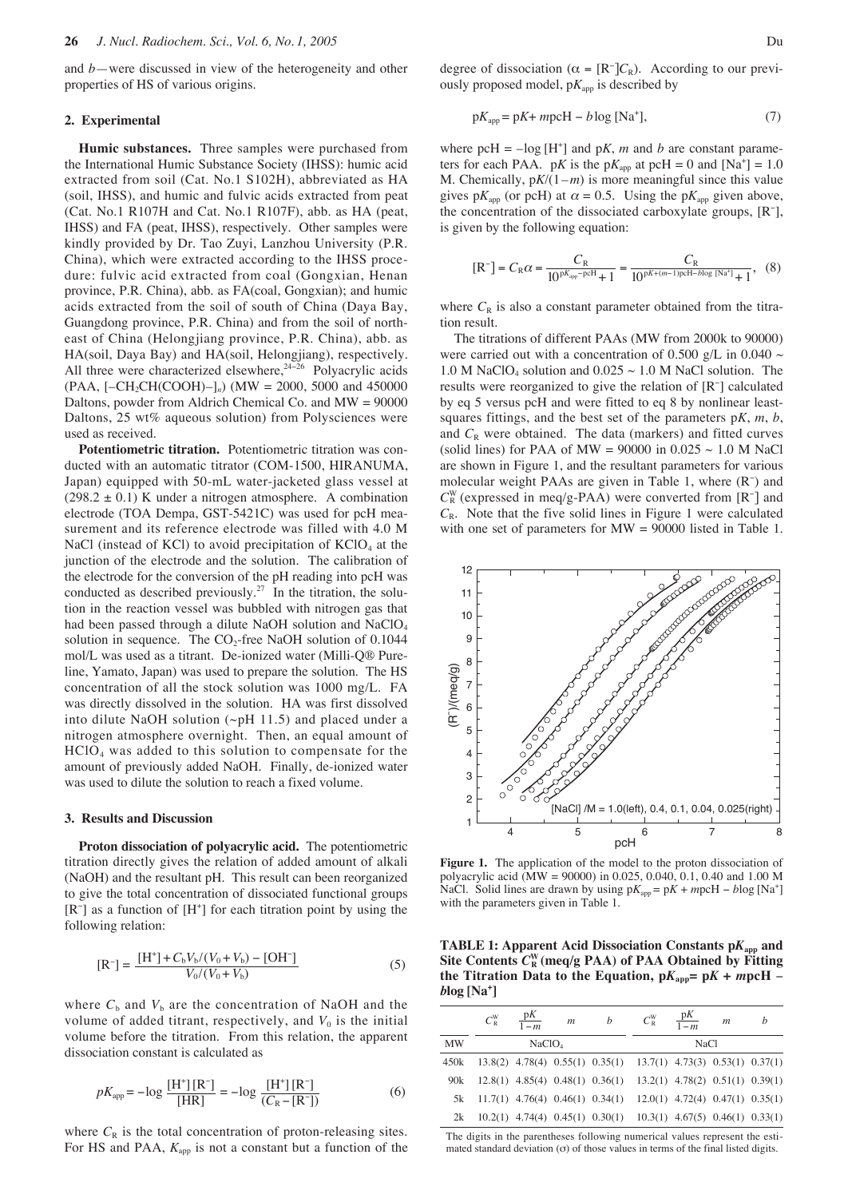and *b*—were discussed in view of the heterogeneity and other properties of HS of various origins.

#### **2. Experimental**

**Humic substances.** Three samples were purchased from the International Humic Substance Society (IHSS): humic acid extracted from soil (Cat. No.1 S102H), abbreviated as HA (soil, IHSS), and humic and fulvic acids extracted from peat (Cat. No.1 R107H and Cat. No.1 R107F), abb. as HA (peat, IHSS) and FA (peat, IHSS), respectively. Other samples were kindly provided by Dr. Tao Zuyi, Lanzhou University (P.R. China), which were extracted according to the IHSS procedure: fulvic acid extracted from coal (Gongxian, Henan province, P.R. China), abb. as FA(coal, Gongxian); and humic acids extracted from the soil of south of China (Daya Bay, Guangdong province, P.R. China) and from the soil of northeast of China (Helongjiang province, P.R. China), abb. as HA(soil, Daya Bay) and HA(soil, Helongjiang), respectively. All three were characterized elsewhere,<sup>24−26</sup> Polyacrylic acids (PAA, [–CH2CH(COOH)–]*n*) (MW = 2000, 5000 and 450000 Daltons, powder from Aldrich Chemical Co. and MW = 90000 Daltons, 25 wt% aqueous solution) from Polysciences were used as received.

**Potentiometric titration.** Potentiometric titration was conducted with an automatic titrator (COM-1500, HIRANUMA, Japan) equipped with 50-mL water-jacketed glass vessel at  $(298.2 \pm 0.1)$  K under a nitrogen atmosphere. A combination electrode (TOA Dempa, GST-5421C) was used for pcH measurement and its reference electrode was filled with 4.0 M NaCl (instead of KCl) to avoid precipitation of  $KClO<sub>4</sub>$  at the junction of the electrode and the solution. The calibration of the electrode for the conversion of the pH reading into pcH was conducted as described previously.<sup>27</sup> In the titration, the solution in the reaction vessel was bubbled with nitrogen gas that had been passed through a dilute NaOH solution and NaClO<sub>4</sub> solution in sequence. The CO<sub>2</sub>-free NaOH solution of 0.1044 mol/L was used as a titrant. De-ionized water (Milli-Q® Pureline, Yamato, Japan) was used to prepare the solution. The HS concentration of all the stock solution was 1000 mg/L. FA was directly dissolved in the solution. HA was first dissolved into dilute NaOH solution  $(\sim pH 11.5)$  and placed under a nitrogen atmosphere overnight. Then, an equal amount of HClO4 was added to this solution to compensate for the amount of previously added NaOH. Finally, de-ionized water was used to dilute the solution to reach a fixed volume.

#### **3. Results and Discussion**

**Proton dissociation of polyacrylic acid.** The potentiometric titration directly gives the relation of added amount of alkali (NaOH) and the resultant pH. This result can been reorganized to give the total concentration of dissociated functional groups [R<sup>-</sup>] as a function of [H<sup>+</sup>] for each titration point by using the following relation:

$$
[\mathbf{R}^{-}] = \frac{[\mathbf{H}^{+}] + C_{b}V_{b}/(V_{0} + V_{b}) - [\mathbf{O}\mathbf{H}^{-}]}{V_{0}/(V_{0} + V_{b})}
$$
(5)

where  $C_b$  and  $V_b$  are the concentration of NaOH and the volume of added titrant, respectively, and  $V_0$  is the initial volume before the titration. From this relation, the apparent dissociation constant is calculated as

$$
pK_{\rm app} = -\log \frac{[H^+][R^-]}{[HR]} = -\log \frac{[H^+][R^-]}{(C_{\rm R} - [R^-])}
$$
(6)

where  $C_R$  is the total concentration of proton-releasing sites. For HS and PAA,  $K_{app}$  is not a constant but a function of the

degree of dissociation ( $\alpha = [R^-]C_R$ ). According to our previously proposed model,  $pK_{app}$  is described by

$$
pK_{app} = pK + mpcH - b\log [Na^{+}],
$$
\n(7)

where  $p cH = -log[H^+]$  and  $pK$ , *m* and *b* are constant parameters for each PAA. pK is the  $pK_{app}$  at  $pcH = 0$  and  $[Na^+] = 1.0$ M. Chemically,  $pK/(1-m)$  is more meaningful since this value gives p $K_{\text{app}}$  (or pcH) at  $\alpha = 0.5$ . Using the p $K_{\text{app}}$  given above, the concentration of the dissociated carboxylate groups, [R<sup>−</sup> ], is given by the following equation:

$$
\text{[R$^-]=}C_{\text{R}}\alpha=\frac{C_{\text{R}}}{10^{\text{p}K_{\text{app}}-\text{p}cH}+1}=\frac{C_{\text{R}}}{10^{\text{p}K+(m-1)\text{p}cH-b\text{log [Na$^+]}+1}},\;\;(8)
$$

where  $C_R$  is also a constant parameter obtained from the titration result.

The titrations of different PAAs (MW from 2000k to 90000) were carried out with a concentration of 0.500 g/L in 0.040  $\sim$ 1.0 M NaClO<sub>4</sub> solution and  $0.025 \sim 1.0$  M NaCl solution. The results were reorganized to give the relation of [R<sup>−</sup> ] calculated by eq 5 versus pcH and were fitted to eq 8 by nonlinear leastsquares fittings, and the best set of the parameters p*K*, *m*, *b*, and  $C_R$  were obtained. The data (markers) and fitted curves (solid lines) for PAA of MW = 90000 in  $0.025 \sim 1.0$  M NaCl are shown in Figure 1, and the resultant parameters for various molecular weight PAAs are given in Table 1, where (R<sup>-</sup>) and  $C_R^W$  (expressed in meq/g-PAA) were converted from  $[R^-]$  and  $C_R$ . Note that the five solid lines in Figure 1 were calculated with one set of parameters for MW = 90000 listed in Table 1.



**Figure 1.** The application of the model to the proton dissociation of polyacrylic acid (MW = 90000) in 0.025, 0.040, 0.1, 0.40 and 1.00 M NaCl. Solid lines are drawn by using  $pK_{app} = pK + mpcH - blog [Na^{+}]$ with the parameters given in Table 1.

**TABLE 1: Apparent Acid Dissociation Constants p***K***app and Site Contents** *C***<sup>R</sup> <sup>W</sup> (meq/g PAA) of PAA Obtained by Fitting the Titration Data to the Equation,**  $pK_{app} = pK + mpcH$  **–** *b***log [Na+ ]**

|           | $C_{\rm R}^{\rm W}$ | $\frac{pK}{1-m}$   | m | $\boldsymbol{b}$                                                            | $C_{\rm R}^{\rm W}$ | $\frac{pK}{1-m}$ | $\mathfrak{m}$ | h |  |
|-----------|---------------------|--------------------|---|-----------------------------------------------------------------------------|---------------------|------------------|----------------|---|--|
| <b>MW</b> |                     | NaClO <sub>4</sub> |   |                                                                             | NaC1                |                  |                |   |  |
| 450k      |                     |                    |   | $13.8(2)$ 4.78(4) 0.55(1) 0.35(1) 13.7(1) 4.73(3) 0.53(1) 0.37(1)           |                     |                  |                |   |  |
| 90k       |                     |                    |   | $12.8(1)$ 4.85(4) 0.48(1) 0.36(1) 13.2(1) 4.78(2) 0.51(1) 0.39(1)           |                     |                  |                |   |  |
| 5k        |                     |                    |   | $11.7(1)$ 4.76(4) 0.46(1) 0.34(1) 12.0(1) 4.72(4) 0.47(1) 0.35(1)           |                     |                  |                |   |  |
| 2k        |                     |                    |   | $10.2(1)$ 4.74(4) $0.45(1)$ $0.30(1)$ $10.3(1)$ 4.67(5) $0.46(1)$ $0.33(1)$ |                     |                  |                |   |  |

The digits in the parentheses following numerical values represent the estimated standard deviation  $(\sigma)$  of those values in terms of the final listed digits.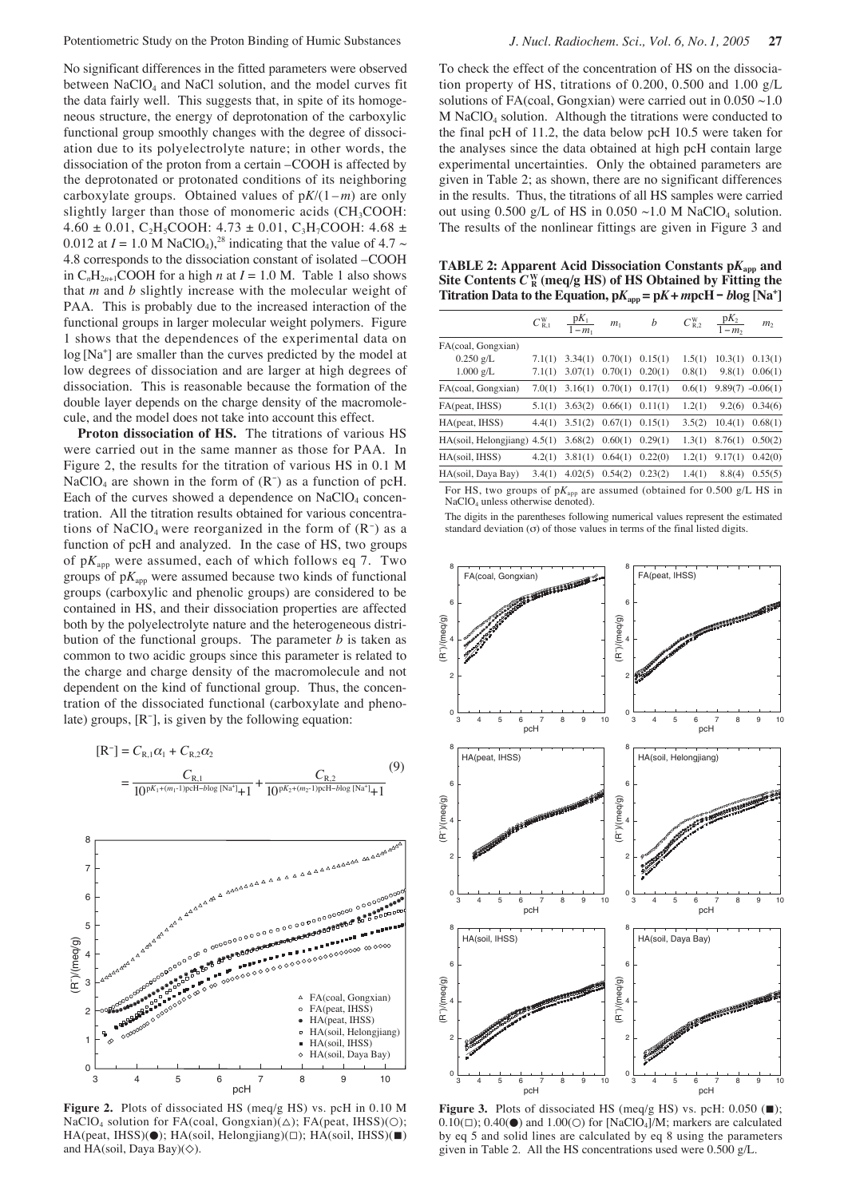Potentiometric Study on the Proton Binding of Humic Substances *J. Nucl. Radiochem. Sci., Vol. 6, No. 1, 2005* **27**

No significant differences in the fitted parameters were observed between NaClO<sub>4</sub> and NaCl solution, and the model curves fit the data fairly well. This suggests that, in spite of its homogeneous structure, the energy of deprotonation of the carboxylic functional group smoothly changes with the degree of dissociation due to its polyelectrolyte nature; in other words, the dissociation of the proton from a certain –COOH is affected by the deprotonated or protonated conditions of its neighboring carboxylate groups. Obtained values of  $pK/(1-m)$  are only slightly larger than those of monomeric acids (CH<sub>3</sub>COOH:  $4.60 \pm 0.01$ , C<sub>2</sub>H<sub>5</sub>COOH:  $4.73 \pm 0.01$ , C<sub>3</sub>H<sub>7</sub>COOH:  $4.68 \pm 0.01$ 0.012 at  $I = 1.0$  M NaClO<sub>4</sub>),<sup>28</sup> indicating that the value of 4.7  $\sim$ 4.8 corresponds to the dissociation constant of isolated –COOH in  $C_nH_{2n+1}COOH$  for a high *n* at  $I = 1.0$  M. Table 1 also shows that *m* and *b* slightly increase with the molecular weight of PAA. This is probably due to the increased interaction of the functional groups in larger molecular weight polymers. Figure 1 shows that the dependences of the experimental data on log [Na<sup>+</sup>] are smaller than the curves predicted by the model at low degrees of dissociation and are larger at high degrees of dissociation. This is reasonable because the formation of the double layer depends on the charge density of the macromolecule, and the model does not take into account this effect.

**Proton dissociation of HS.** The titrations of various HS were carried out in the same manner as those for PAA. In Figure 2, the results for the titration of various HS in 0.1 M NaClO4 are shown in the form of (R<sup>−</sup> ) as a function of pcH. Each of the curves showed a dependence on  $NaClO<sub>4</sub>$  concentration. All the titration results obtained for various concentrations of NaClO<sub>4</sub> were reorganized in the form of  $(R^-)$  as a function of pcH and analyzed. In the case of HS, two groups of p*K*app were assumed, each of which follows eq 7. Two groups of  $pK_{app}$  were assumed because two kinds of functional groups (carboxylic and phenolic groups) are considered to be contained in HS, and their dissociation properties are affected both by the polyelectrolyte nature and the heterogeneous distribution of the functional groups. The parameter *b* is taken as common to two acidic groups since this parameter is related to the charge and charge density of the macromolecule and not dependent on the kind of functional group. Thus, the concentration of the dissociated functional (carboxylate and phenolate) groups, [R<sup>−</sup> ], is given by the following equation:





**Figure 2.** Plots of dissociated HS (meq/g HS) vs. pcH in 0.10 M NaClO<sub>4</sub> solution for FA(coal, Gongxian)( $\Delta$ ); FA(peat, IHSS)( $\odot$ ); HA(peat, IHSS)(●); HA(soil, Helongjiang)(□); HA(soil, IHSS)(■) and HA(soil, Daya Bay)(◇).

To check the effect of the concentration of HS on the dissociation property of HS, titrations of 0.200, 0.500 and 1.00 g/L solutions of FA(coal, Gongxian) were carried out in  $0.050 \sim 1.0$ M NaClO4 solution. Although the titrations were conducted to the final pcH of 11.2, the data below pcH 10.5 were taken for the analyses since the data obtained at high pcH contain large experimental uncertainties. Only the obtained parameters are given in Table 2; as shown, there are no significant differences in the results. Thus, the titrations of all HS samples were carried out using 0.500 g/L of HS in 0.050  $\sim$ 1.0 M NaClO<sub>4</sub> solution. The results of the nonlinear fittings are given in Figure 3 and

**TABLE 2: Apparent Acid Dissociation Constants p***K***app and** Site Contents  $\boldsymbol{C}^\mathrm{W}_{\,\mathrm{R}}$  (meq/g HS) of HS Obtained by Fitting the **Titration Data to the Equation,**  $pK_{app} = pK + mpcH - blog [Na^+]$ 

|                                | $C_{\rm R,1}^{\rm W}$ | $\frac{\mathrm{p}K_1}{1-m_1}$ | m <sub>1</sub>                | $\boldsymbol{b}$ | $C_{R,2}^W$ | $\frac{pK_2}{1-m_2}$ | m <sub>2</sub>     |
|--------------------------------|-----------------------|-------------------------------|-------------------------------|------------------|-------------|----------------------|--------------------|
| FA(coal, Gongxian)             |                       |                               |                               |                  |             |                      |                    |
| $0.250$ g/L                    | 7.1(1)                |                               | $3.34(1)$ $0.70(1)$           | 0.15(1)          | 1.5(1)      | 10.3(1)              | 0.13(1)            |
| $1.000$ g/L                    | 7.1(1)                | 3.07(1)                       | 0.70(1)                       | 0.20(1)          | 0.8(1)      | 9.8(1)               | 0.06(1)            |
| FA(coal, Gongxian)             | 7.0(1)                |                               | $3.16(1)$ $0.70(1)$           | 0.17(1)          | 0.6(1)      |                      | $9.89(7) -0.06(1)$ |
| FA(peat, IHSS)                 | 5.1(1)                |                               | $3.63(2)$ $0.66(1)$           | 0.11(1)          | 1.2(1)      | 9.2(6)               | 0.34(6)            |
| HA(peat, IHSS)                 | 4.4(1)                |                               | $3.51(2)$ $0.67(1)$ $0.15(1)$ |                  | 3.5(2)      | 10.4(1)              | 0.68(1)            |
| $HA(soil, Helongjiang)$ 4.5(1) |                       | 3.68(2)                       | $0.60(1)$ $0.29(1)$           |                  | 1.3(1)      | 8.76(1)              | 0.50(2)            |
| HA(soil, IHSS)                 | 4.2(1)                | 3.81(1)                       | 0.64(1)                       | 0.22(0)          | 1.2(1)      | 9.17(1)              | 0.42(0)            |
| HA(soil, Daya Bay)             | 3.4(1)                | 4.02(5)                       | 0.54(2)                       | 0.23(2)          | 1.4(1)      | 8.8(4)               | 0.55(5)            |

For HS, two groups of  $pK_{app}$  are assumed (obtained for 0.500 g/L HS in NaClO4 unless otherwise denoted).

The digits in the parentheses following numerical values represent the estimated standard deviation  $(\sigma)$  of those values in terms of the final listed digits.



**Figure 3.** Plots of dissociated HS (meq/g HS) vs. pcH: 0.050 (■);  $0.10(\square)$ ;  $0.40(\bullet)$  and  $1.00(\square)$  for [NaClO<sub>4</sub>]/M; markers are calculated by eq 5 and solid lines are calculated by eq 8 using the parameters given in Table 2. All the HS concentrations used were 0.500 g/L.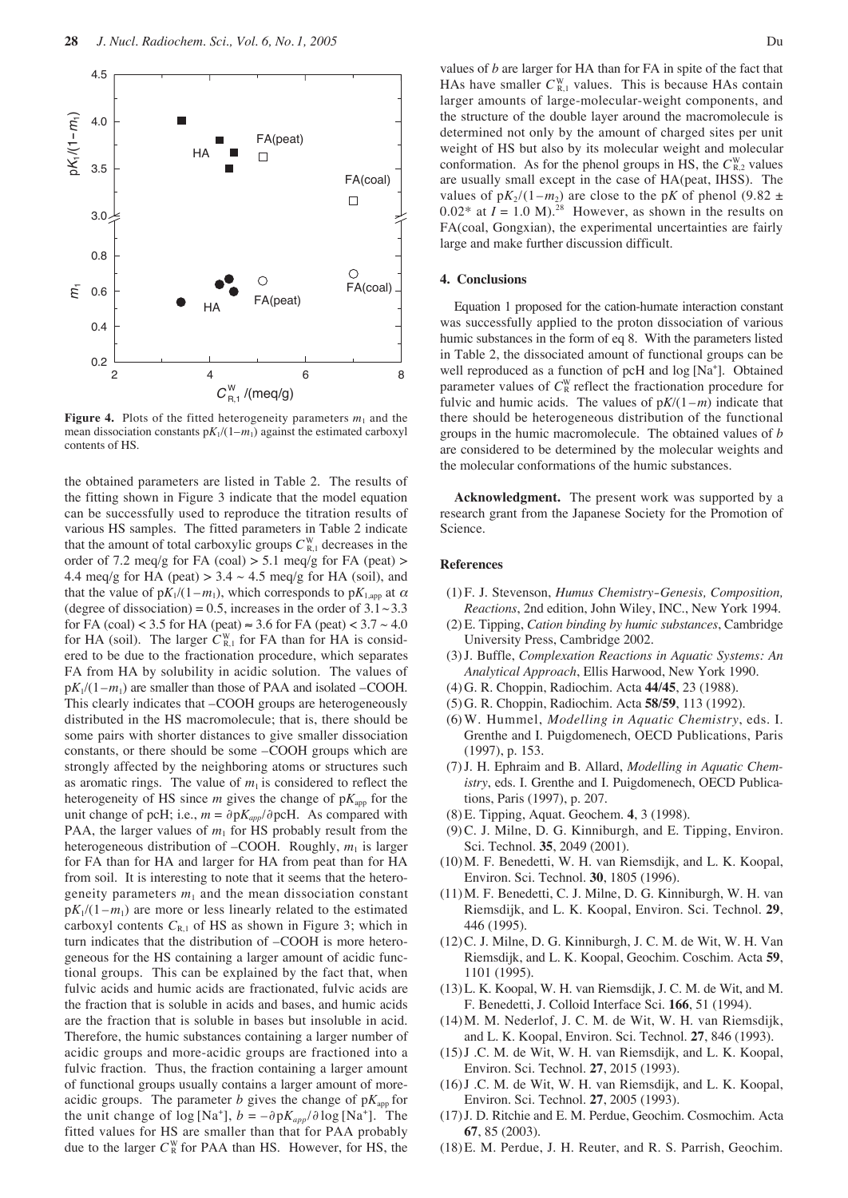

**Figure 4.** Plots of the fitted heterogeneity parameters  $m_1$  and the mean dissociation constants  $pK_1/(1-m_1)$  against the estimated carboxyl contents of HS.

the obtained parameters are listed in Table 2. The results of the fitting shown in Figure 3 indicate that the model equation can be successfully used to reproduce the titration results of various HS samples. The fitted parameters in Table 2 indicate that the amount of total carboxylic groups  $C_{\text{R},1}^{\text{W}}$  decreases in the order of 7.2 meq/g for FA (coal)  $> 5.1$  meq/g for FA (peat)  $>$ 4.4 meq/g for HA (peat)  $> 3.4 \sim 4.5$  meq/g for HA (soil), and that the value of  $pK_1/(1-m_1)$ , which corresponds to  $pK_{1,\text{app}}$  at  $\alpha$ (degree of dissociation) = 0.5, increases in the order of  $3.1 \sim 3.3$ for FA (coal) < 3.5 for HA (peat)  $\approx$  3.6 for FA (peat) < 3.7  $\sim$  4.0 for HA (soil). The larger  $C_{\text{R},1}^{\text{W}}$  for FA than for HA is considered to be due to the fractionation procedure, which separates FA from HA by solubility in acidic solution. The values of  $pK_1/(1-m_1)$  are smaller than those of PAA and isolated –COOH. This clearly indicates that –COOH groups are heterogeneously distributed in the HS macromolecule; that is, there should be some pairs with shorter distances to give smaller dissociation constants, or there should be some –COOH groups which are strongly affected by the neighboring atoms or structures such as aromatic rings. The value of  $m_1$  is considered to reflect the heterogeneity of HS since  $m$  gives the change of  $pK_{app}$  for the unit change of pcH; i.e.,  $m = \partial pK_{app}/\partial p cH$ . As compared with PAA, the larger values of  $m_1$  for HS probably result from the heterogeneous distribution of –COOH. Roughly,  $m_1$  is larger for FA than for HA and larger for HA from peat than for HA from soil. It is interesting to note that it seems that the heterogeneity parameters  $m_1$  and the mean dissociation constant  $pK_1/(1-m_1)$  are more or less linearly related to the estimated carboxyl contents  $C_{R,1}$  of HS as shown in Figure 3; which in turn indicates that the distribution of –COOH is more heterogeneous for the HS containing a larger amount of acidic functional groups. This can be explained by the fact that, when fulvic acids and humic acids are fractionated, fulvic acids are the fraction that is soluble in acids and bases, and humic acids are the fraction that is soluble in bases but insoluble in acid. Therefore, the humic substances containing a larger number of acidic groups and more-acidic groups are fractioned into a fulvic fraction. Thus, the fraction containing a larger amount of functional groups usually contains a larger amount of moreacidic groups. The parameter *b* gives the change of  $pK_{app}$  for the unit change of  $log [Na^+]$ ,  $b = -\partial pK_{app}/\partial log [Na^+]$ . The fitted values for HS are smaller than that for PAA probably due to the larger  $C_R^W$  for PAA than HS. However, for HS, the

values of *b* are larger for HA than for FA in spite of the fact that HAs have smaller  $C_{\text{R},1}^{\text{W}}$  values. This is because HAs contain larger amounts of large-molecular-weight components, and the structure of the double layer around the macromolecule is determined not only by the amount of charged sites per unit weight of HS but also by its molecular weight and molecular conformation. As for the phenol groups in HS, the  $C_{\text{R},2}^{\text{W}}$  values are usually small except in the case of HA(peat, IHSS). The values of  $pK_2/(1-m_2)$  are close to the p*K* of phenol (9.82  $\pm$  $0.02^*$  at  $I = 1.0$  M).<sup>28</sup> However, as shown in the results on FA(coal, Gongxian), the experimental uncertainties are fairly large and make further discussion difficult.

#### **4. Conclusions**

Equation 1 proposed for the cation-humate interaction constant was successfully applied to the proton dissociation of various humic substances in the form of eq 8. With the parameters listed in Table 2, the dissociated amount of functional groups can be well reproduced as a function of pcH and log [Na<sup>+</sup>]. Obtained parameter values of  $C^W_R$  reflect the fractionation procedure for fulvic and humic acids. The values of  $pK/(1-m)$  indicate that there should be heterogeneous distribution of the functional groups in the humic macromolecule. The obtained values of *b* are considered to be determined by the molecular weights and the molecular conformations of the humic substances.

**Acknowledgment.** The present work was supported by a research grant from the Japanese Society for the Promotion of Science.

### **References**

- (1) F. J. Stevenson, *Humus Chemistry-Genesis, Composition, Reactions*, 2nd edition, John Wiley, INC., New York 1994.
- (2)E. Tipping, *Cation binding by humic substances*, Cambridge University Press, Cambridge 2002.
- (3) J. Buffle, *Complexation Reactions in Aquatic Systems: An Analytical Approach*, Ellis Harwood, New York 1990.
- (4) G. R. Choppin, Radiochim. Acta **44/45**, 23 (1988).
- (5) G. R. Choppin, Radiochim. Acta **58/59**, 113 (1992).
- (6)W. Hummel, *Modelling in Aquatic Chemistry*, eds. I. Grenthe and I. Puigdomenech, OECD Publications, Paris (1997), p. 153.
- (7) J. H. Ephraim and B. Allard, *Modelling in Aquatic Chemistry*, eds. I. Grenthe and I. Puigdomenech, OECD Publications, Paris (1997), p. 207.
- (8) E. Tipping, Aquat. Geochem. **4**, 3 (1998).
- (9)C. J. Milne, D. G. Kinniburgh, and E. Tipping, Environ. Sci. Technol. **35**, 2049 (2001).
- (10)M. F. Benedetti, W. H. van Riemsdijk, and L. K. Koopal, Environ. Sci. Technol. **30**, 1805 (1996).
- (11)M. F. Benedetti, C. J. Milne, D. G. Kinniburgh, W. H. van Riemsdijk, and L. K. Koopal, Environ. Sci. Technol. **29**, 446 (1995).
- (12)C. J. Milne, D. G. Kinniburgh, J. C. M. de Wit, W. H. Van Riemsdijk, and L. K. Koopal, Geochim. Coschim. Acta **59**, 1101 (1995).
- (13)L. K. Koopal, W. H. van Riemsdijk, J. C. M. de Wit, and M. F. Benedetti, J. Colloid Interface Sci. **166**, 51 (1994).
- (14)M. M. Nederlof, J. C. M. de Wit, W. H. van Riemsdijk, and L. K. Koopal, Environ. Sci. Technol. **27**, 846 (1993).
- (15)J .C. M. de Wit, W. H. van Riemsdijk, and L. K. Koopal, Environ. Sci. Technol. **27**, 2015 (1993).
- (16)J .C. M. de Wit, W. H. van Riemsdijk, and L. K. Koopal, Environ. Sci. Technol. **27**, 2005 (1993).
- (17)J. D. Ritchie and E. M. Perdue, Geochim. Cosmochim. Acta **67**, 85 (2003).
- (18)E. M. Perdue, J. H. Reuter, and R. S. Parrish, Geochim.